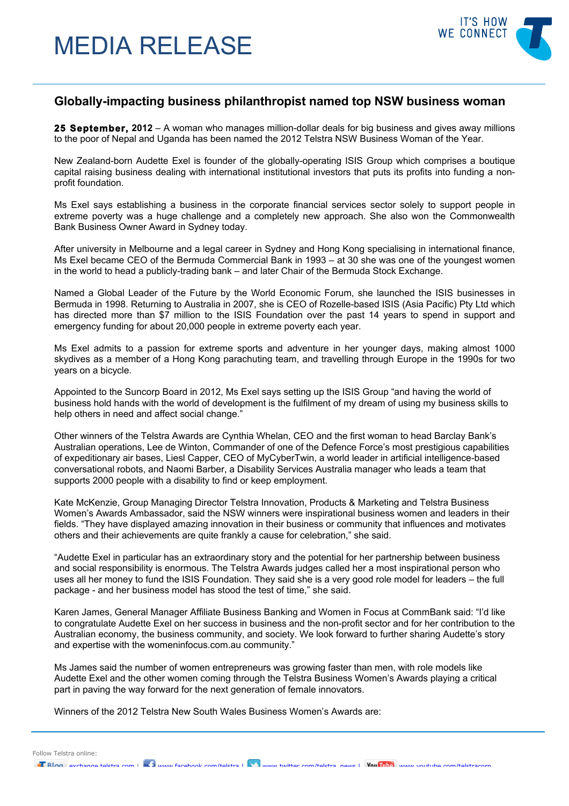# MEDIA RELEASE



# **Globally-impacting business philanthropist named top NSW business woman**

**25 September, 2012** – A woman who manages million-dollar deals for big business and gives away millions to the poor of Nepal and Uganda has been named the 2012 Telstra NSW Business Woman of the Year.

New Zealand-born Audette Exel is founder of the globally-operating ISIS Group which comprises a boutique capital raising business dealing with international institutional investors that puts its profits into funding a nonprofit foundation.

Ms Exel says establishing a business in the corporate financial services sector solely to support people in extreme poverty was a huge challenge and a completely new approach. She also won the Commonwealth Bank Business Owner Award in Sydney today.

After university in Melbourne and a legal career in Sydney and Hong Kong specialising in international finance, Ms Exel became CEO of the Bermuda Commercial Bank in 1993 – at 30 she was one of the youngest women in the world to head a publicly-trading bank – and later Chair of the Bermuda Stock Exchange.

Named a Global Leader of the Future by the World Economic Forum, she launched the ISIS businesses in Bermuda in 1998. Returning to Australia in 2007, she is CEO of Rozelle-based ISIS (Asia Pacific) Pty Ltd which has directed more than \$7 million to the ISIS Foundation over the past 14 years to spend in support and emergency funding for about 20,000 people in extreme poverty each year.

Ms Exel admits to a passion for extreme sports and adventure in her younger days, making almost 1000 skydives as a member of a Hong Kong parachuting team, and travelling through Europe in the 1990s for two years on a bicycle.

Appointed to the Suncorp Board in 2012, Ms Exel says setting up the ISIS Group "and having the world of business hold hands with the world of development is the fulfilment of my dream of using my business skills to help others in need and affect social change."

Other winners of the Telstra Awards are Cynthia Whelan, CEO and the first woman to head Barclay Bank's Australian operations, Lee de Winton, Commander of one of the Defence Force's most prestigious capabilities of expeditionary air bases, Liesl Capper, CEO of MyCyberTwin, a world leader in artificial intelligence-based conversational robots, and Naomi Barber, a Disability Services Australia manager who leads a team that supports 2000 people with a disability to find or keep employment.

Kate McKenzie, Group Managing Director Telstra Innovation, Products & Marketing and Telstra Business Women's Awards Ambassador, said the NSW winners were inspirational business women and leaders in their fields. "They have displayed amazing innovation in their business or community that influences and motivates others and their achievements are quite frankly a cause for celebration," she said.

"Audette Exel in particular has an extraordinary story and the potential for her partnership between business and social responsibility is enormous. The Telstra Awards judges called her a most inspirational person who uses all her money to fund the ISIS Foundation. They said she is a very good role model for leaders – the full package - and her business model has stood the test of time," she said.

Karen James, General Manager Affiliate Business Banking and Women in Focus at CommBank said: "I'd like to congratulate Audette Exel on her success in business and the non-profit sector and for her contribution to the Australian economy, the business community, and society. We look forward to further sharing Audette's story and expertise with the womeninfocus.com.au community."

Ms James said the number of women entrepreneurs was growing faster than men, with role models like Audette Exel and the other women coming through the Telstra Business Women's Awards playing a critical part in paving the way forward for the next generation of female innovators.

Winners of the 2012 Telstra New South Wales Business Women's Awards are:

Follow Telstra online: